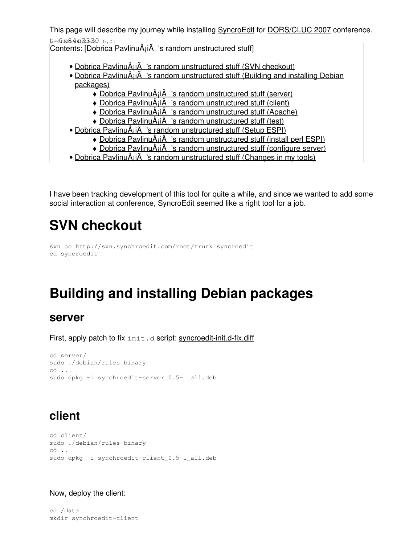This page will describe my journey while installing [SyncroEdit](http://www.synchroedit.com) for [DORS/CLUC 2007](http://www.open.hr/dc2007/) conference. t=0x84c33380 [0,0]

Contents: [Dobrica PavlinuÅ<sub>j</sub>iÄ 's random unstructured stuff]

- Dobrica PavlinuÅ; iÄ's random unstructured stuff (SVN checkout)
- Dobrica PavlinuA<sub>i</sub>iA 's random unstructured stuff (Building and installing Debian [packages\)](https://saturn.ffzg.hr/rot13/index.cgi?dobrica_pavlinu%C5%A1i%C4%87_s_random_unstructured_stuff#building_and_installing_debian_packages)
	- ◆ Dobrica PavlinuÅ;iÄ 's random unstructured stuff (server)
	- ◆ Dobrica PavlinuÅ<sub>i</sub>iÄ's random unstructured stuff (client)
	- ◆ Dobrica PavlinuÅ¡iÄ 's random unstructured stuff (Apache)
	- ◆ Dobrica PavlinuÅ¡iÄ 's random unstructured stuff (test)
- Dobrica PavlinuÅ<sub>i</sub>jÄ 's random unstructured stuff (Setup ESPI)
	- ◆ Dobrica PavlinuÅ¡iÄ 's random unstructured stuff (install perl ESPI)
	- ◆ Dobrica PavlinuÅ¡iÄ 's random unstructured stuff (configure server)
- Dobrica PavlinuÅ<sub>j</sub>iÄ 's random unstructured stuff (Changes in my tools)

I have been tracking development of this tool for quite a while, and since we wanted to add some social interaction at conference, SyncroEdit seemed like a right tool for a job.

## **SVN checkout**

```
svn co http://svn.synchroedit.com/root/trunk syncroedit
cd syncroedit
```
# **Building and installing Debian packages**

#### **server**

First, apply patch to fix  $init.d$  script: [syncroedit-init.d-fix.diff](https://saturn.ffzg.hr/rot13/index.cgi/syncroedit-init.d-fix.diff?action=attachments_download;page_name=synchroedit;id=20070415213920-0-11933)

```
cd server/
sudo ./debian/rules binary
cd ..
sudo dpkg -i synchroedit-server_0.5-1_all.deb
```
### **client**

```
cd client/
sudo ./debian/rules binary
cd ..
sudo dpkg -i synchroedit-client_0.5-1_all.deb
```
#### Now, deploy the client:

cd /data mkdir synchroedit-client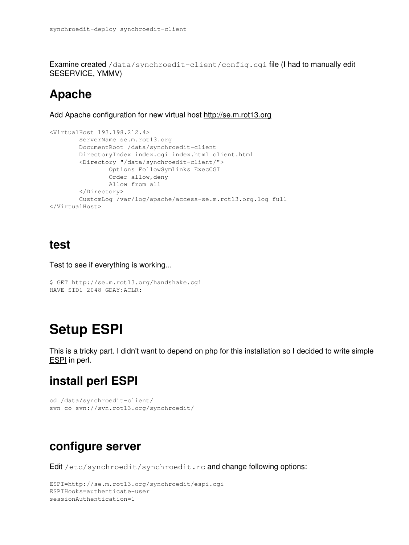Examine created /data/synchroedit-client/config.cgi file (I had to manually edit SESERVICE, YMMV)

### **Apache**

Add Apache configuration for new virtual host<http://se.m.rot13.org>

```
<VirtualHost 193.198.212.4>
        ServerName se.m.rot13.org
         DocumentRoot /data/synchroedit-client
         DirectoryIndex index.cgi index.html client.html
         <Directory "/data/synchroedit-client/">
                 Options FollowSymLinks ExecCGI
                 Order allow,deny
                 Allow from all
         </Directory>
         CustomLog /var/log/apache/access-se.m.rot13.org.log full
</VirtualHost>
```
#### **test**

Test to see if everything is working...

```
$ GET http://se.m.rot13.org/handshake.cgi
HAVE SID1 2048 GDAY:ACLR:
```
### **Setup ESPI**

This is a tricky part. I didn't want to depend on php for this installation so I decided to write simple [ESPI](http://wiki.synchroedit.com/index.php/ExternalServicePOSTInterface) in perl.

### **install perl ESPI**

```
cd /data/synchroedit-client/
svn co svn://svn.rot13.org/synchroedit/
```
#### **configure server**

Edit /etc/synchroedit/synchroedit.rc and change following options:

```
ESPI=http://se.m.rot13.org/synchroedit/espi.cgi
ESPIHooks=authenticate-user
sessionAuthentication=1
```